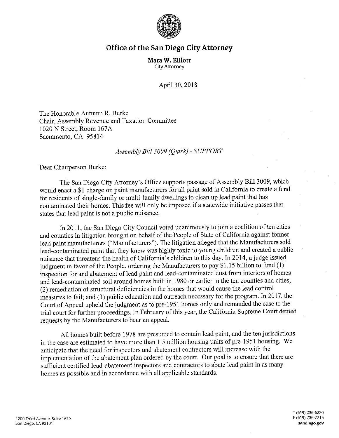

## **Office of the San Diego City Attorney**

**Mara W. Elliott**  City Attorney

April 30, 2018

The Honorable Autumn R. Burke Chair, Assembly Revenue and Taxation Committee 1020 N Street, Room 167A Sacramento, CA 95814

## *Assembly Bill 3009 (Quirk)* - *SUPPORT*

Dear Chairperson Burke:

The San Diego City Attorney's Office supports passage of Assembly Bill 3009, which would enact a \$1 charge on paint manufacturers for all paint sold in California to create a fund for residents of single-family or multi-family dwellings to clean up lead paint that has contaminated their homes. This fee will only be imposed if a statewide initiative passes that states that lead paint is not a public nuisance.

In 2011, the San Diego City Council voted unanimously to join a coalition of ten cities and counties in litigation brought on behalf of the People of State of California against former lead paint manufacturers ("Manufacturers"). The litigation alleged that the Manufacturers sold lead-contaminated paint that they knew was highly toxic to young children and created a public nuisance that threatens the health of California's children to this day. In 2014, a judge issued judgment in favor of the People, ordering the Manufacturers to pay \$1.15 billion to fund (1) inspection for and abatement of lead paint and lead-contaminated dust from interiors of homes and lead-contaminated soil around homes built in 1980 or earlier in the ten counties and cities; (2) remediation of structural deficiencies in the homes that would cause the lead control measures to fail; and (3) public education and outreach necessary for the program. In 2017, the Court of Appeal upheld the judgment as to pre-1951 homes only and remanded the case to the trial court for further proceedings. In February of this year, the California Supreme Court denied requests by the Manufacturers to hear an appeal.

All homes built before 1978 are presumed to contain lead paint, and the ten jurisdictions in the case are estimated to have more than I. 5 million housing units of pre-1951 housing. We anticipate that the need for inspectors and abatement contractors will increase with the implementation of the abatement plan ordered by the court. Our goal is to ensure that there are sufficient certified lead-abatement inspectors and contractors to abate lead paint in as many homes as possible and in accordance with all applicable standards.

T (619) 236-6220 F (619) 236-7215 **sandiego.gov**